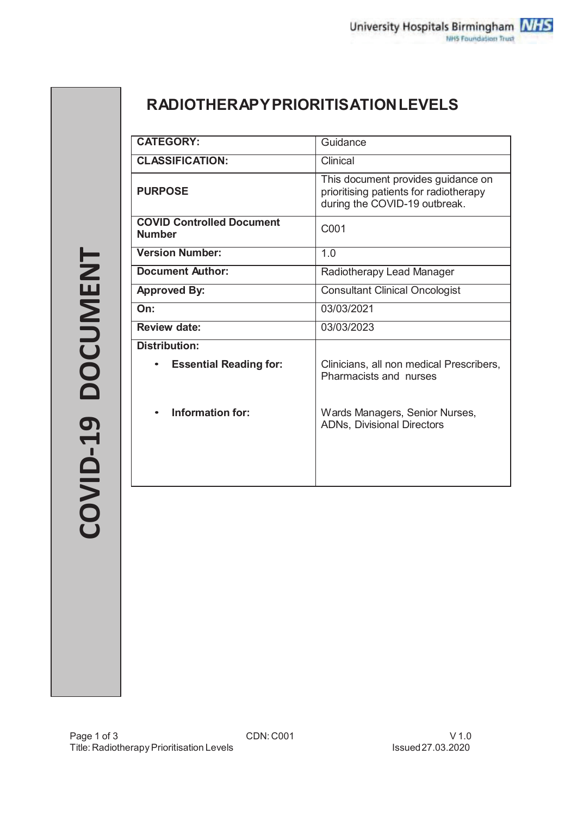# **RADIOTHERAPY PRIORITISATION LEVELS**

| <b>CATEGORY:</b>                                  | Guidance                                                                                                      |  |  |
|---------------------------------------------------|---------------------------------------------------------------------------------------------------------------|--|--|
| <b>CLASSIFICATION:</b>                            | Clinical                                                                                                      |  |  |
| <b>PURPOSE</b>                                    | This document provides guidance on<br>prioritising patients for radiotherapy<br>during the COVID-19 outbreak. |  |  |
| <b>COVID Controlled Document</b><br><b>Number</b> | C001                                                                                                          |  |  |
| <b>Version Number:</b>                            | 1.0                                                                                                           |  |  |
| <b>Document Author:</b>                           | Radiotherapy Lead Manager                                                                                     |  |  |
| <b>Approved By:</b>                               | <b>Consultant Clinical Oncologist</b>                                                                         |  |  |
| On:                                               | 03/03/2021                                                                                                    |  |  |
| <b>Review date:</b>                               | 03/03/2023                                                                                                    |  |  |
| <b>Distribution:</b>                              |                                                                                                               |  |  |
| <b>Essential Reading for:</b>                     | Clinicians, all non medical Prescribers,<br>Pharmacists and nurses                                            |  |  |
| Information for:<br>$\bullet$                     | Wards Managers, Senior Nurses,<br><b>ADNs, Divisional Directors</b>                                           |  |  |
|                                                   |                                                                                                               |  |  |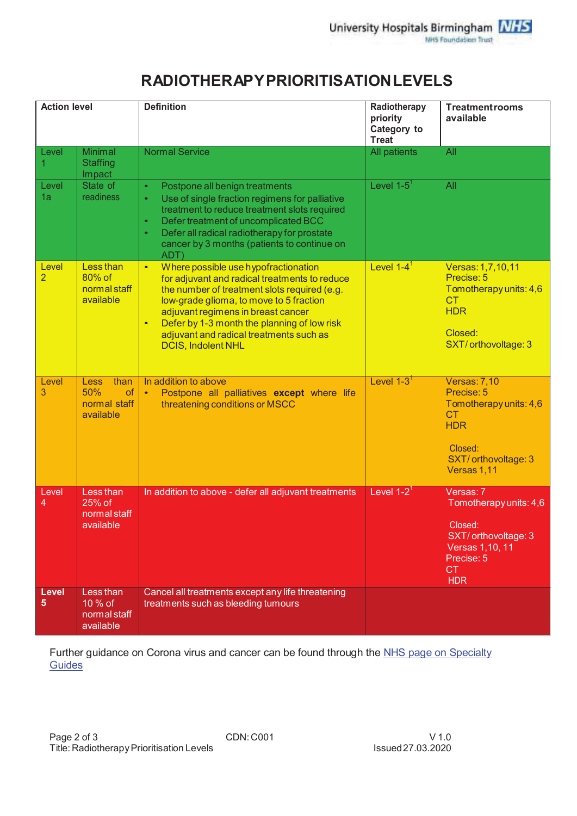# **RADIOTHERAPY PRIORITIS ATION LEVELS**

| <b>Action level</b>     |                                                                      | <b>Definition</b>                                                                                                                                                                                                                                                                                                                                                       | Radiotherapy<br>priority<br>Category to<br><b>Treat</b> | <b>Treatment rooms</b><br>available                                                                                                      |
|-------------------------|----------------------------------------------------------------------|-------------------------------------------------------------------------------------------------------------------------------------------------------------------------------------------------------------------------------------------------------------------------------------------------------------------------------------------------------------------------|---------------------------------------------------------|------------------------------------------------------------------------------------------------------------------------------------------|
| Level<br>1              | <b>Minimal</b><br><b>Staffing</b><br>Impact                          | <b>Normal Service</b>                                                                                                                                                                                                                                                                                                                                                   | All patients                                            | All                                                                                                                                      |
| Level<br>1a             | State of<br>readiness                                                | Postpone all benign treatments<br>$\bullet$<br>Use of single fraction regimens for palliative<br>$\bullet$<br>treatment to reduce treatment slots required<br>Defer treatment of uncomplicated BCC<br>$\bullet$<br>Defer all radical radiotherapy for prostate<br>$\bullet$<br>cancer by 3 months (patients to continue on<br>ADT)                                      | Level $1-5$ <sup>1</sup>                                | All                                                                                                                                      |
| Level<br>$\overline{2}$ | Less than<br>80% of<br>normal staff<br>available                     | Where possible use hypofractionation<br>$\bullet$<br>for adjuvant and radical treatments to reduce<br>the number of treatment slots required (e.g.<br>low-grade glioma, to move to 5 fraction<br>adjuvant regimens in breast cancer<br>Defer by 1-3 month the planning of low risk<br>$\bullet$<br>adjuvant and radical treatments such as<br><b>DCIS, Indolent NHL</b> | Level $1-4^1$                                           | Versas: 1,7,10,11<br>Precise: 5<br>Tomotherapy units: 4,6<br><b>CT</b><br><b>HDR</b><br>Closed:<br>SXT/orthovoltage: 3                   |
| Level<br>3              | than<br><b>Less</b><br>50%<br><b>of</b><br>normal staff<br>available | In addition to above<br>Postpone all palliatives except where life<br>$\bullet$<br>threatening conditions or MSCC                                                                                                                                                                                                                                                       | Level $1-3$ <sup>1</sup>                                | <b>Versas: 7,10</b><br>Precise: 5<br>Tomotherapy units: 4,6<br><b>CT</b><br><b>HDR</b><br>Closed:<br>SXT/ orthovoltage: 3<br>Versas 1,11 |
| Level<br>4              | Less than<br>25% of<br>normal staff<br>available                     | In addition to above - defer all adjuvant treatments                                                                                                                                                                                                                                                                                                                    | Level $1-2^1$                                           | Versas: 7<br>Tomotherapy units: 4,6<br>Closed:<br>SXT/orthovoltage: 3<br><b>Versas 1,10, 11</b><br>Precise: 5<br><b>CT</b><br><b>HDR</b> |
| <b>Level</b><br>5       | Less than<br>10 % of<br>normal staff<br>available                    | Cancel all treatments except any life threatening<br>treatments such as bleeding tumours                                                                                                                                                                                                                                                                                |                                                         |                                                                                                                                          |

Further guidance on Corona virus and cancer can be found through the NHS page on Specialty Guides